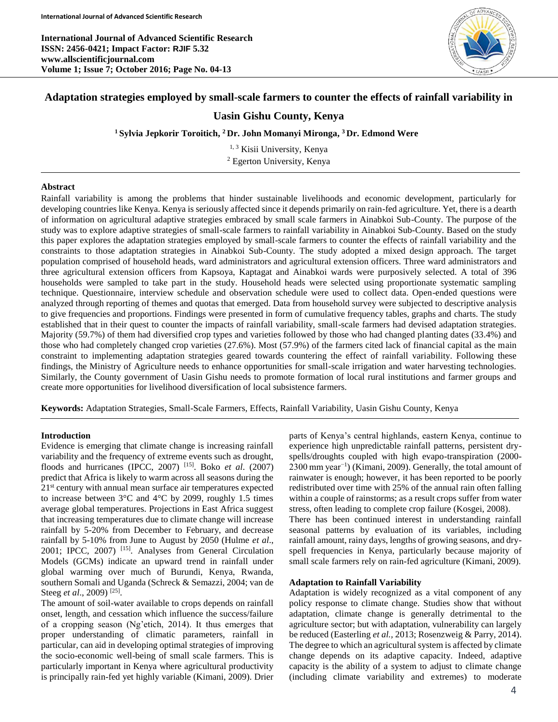**International Journal of Advanced Scientific Research ISSN: 2456-0421; Impact Factor: RJIF 5.32 www.allscientificjournal.com Volume 1; Issue 7; October 2016; Page No. 04-13**



# **Adaptation strategies employed by small-scale farmers to counter the effects of rainfall variability in**

## **Uasin Gishu County, Kenya**

**<sup>1</sup> Sylvia Jepkorir Toroitich, <sup>2</sup> Dr. John Momanyi Mironga, <sup>3</sup> Dr. Edmond Were**

<sup>1, 3</sup> Kisii University, Kenya <sup>2</sup> Egerton University, Kenya

#### **Abstract**

Rainfall variability is among the problems that hinder sustainable livelihoods and economic development, particularly for developing countries like Kenya. Kenya is seriously affected since it depends primarily on rain-fed agriculture. Yet, there is a dearth of information on agricultural adaptive strategies embraced by small scale farmers in Ainabkoi Sub-County. The purpose of the study was to explore adaptive strategies of small-scale farmers to rainfall variability in Ainabkoi Sub-County. Based on the study this paper explores the adaptation strategies employed by small-scale farmers to counter the effects of rainfall variability and the constraints to those adaptation strategies in Ainabkoi Sub-County. The study adopted a mixed design approach. The target population comprised of household heads, ward administrators and agricultural extension officers. Three ward administrators and three agricultural extension officers from Kapsoya, Kaptagat and Ainabkoi wards were purposively selected. A total of 396 households were sampled to take part in the study. Household heads were selected using proportionate systematic sampling technique. Questionnaire, interview schedule and observation schedule were used to collect data. Open-ended questions were analyzed through reporting of themes and quotas that emerged. Data from household survey were subjected to descriptive analysis to give frequencies and proportions. Findings were presented in form of cumulative frequency tables, graphs and charts. The study established that in their quest to counter the impacts of rainfall variability, small-scale farmers had devised adaptation strategies. Majority (59.7%) of them had diversified crop types and varieties followed by those who had changed planting dates (33.4%) and those who had completely changed crop varieties (27.6%). Most (57.9%) of the farmers cited lack of financial capital as the main constraint to implementing adaptation strategies geared towards countering the effect of rainfall variability. Following these findings, the Ministry of Agriculture needs to enhance opportunities for small-scale irrigation and water harvesting technologies. Similarly, the County government of Uasin Gishu needs to promote formation of local rural institutions and farmer groups and create more opportunities for livelihood diversification of local subsistence farmers.

**Keywords:** Adaptation Strategies, Small-Scale Farmers, Effects, Rainfall Variability, Uasin Gishu County, Kenya

## **Introduction**

Evidence is emerging that climate change is increasing rainfall variability and the frequency of extreme events such as drought, floods and hurricanes (IPCC, 2007) [15]. Boko *et al*. (2007) predict that Africa is likely to warm across all seasons during the 21<sup>st</sup> century with annual mean surface air temperatures expected to increase between  $3^{\circ}$ C and  $4^{\circ}$ C by 2099, roughly 1.5 times average global temperatures. Projections in East Africa suggest that increasing temperatures due to climate change will increase rainfall by 5-20% from December to February, and decrease rainfall by 5-10% from June to August by 2050 (Hulme *et al*., 2001; IPCC, 2007) [15]. Analyses from General Circulation Models (GCMs) indicate an upward trend in rainfall under global warming over much of Burundi, Kenya, Rwanda, southern Somali and Uganda (Schreck & Semazzi, 2004; van de Steeg *et al.*, 2009)<sup>[25]</sup>.

The amount of soil-water available to crops depends on rainfall onset, length, and cessation which influence the success/failure of a cropping season (Ng'etich, 2014). It thus emerges that proper understanding of climatic parameters, rainfall in particular, can aid in developing optimal strategies of improving the socio-economic well-being of small scale farmers. This is particularly important in Kenya where agricultural productivity is principally rain-fed yet highly variable (Kimani, 2009). Drier

parts of Kenya's central highlands, eastern Kenya, continue to experience high unpredictable rainfall patterns, persistent dryspells/droughts coupled with high evapo-transpiration (2000- 2300 mm year−1 ) (Kimani, 2009). Generally, the total amount of rainwater is enough; however, it has been reported to be poorly redistributed over time with 25% of the annual rain often falling within a couple of rainstorms; as a result crops suffer from water stress, often leading to complete crop failure (Kosgei, 2008).

There has been continued interest in understanding rainfall seasonal patterns by evaluation of its variables, including rainfall amount, rainy days, lengths of growing seasons, and dryspell frequencies in Kenya, particularly because majority of small scale farmers rely on rain-fed agriculture (Kimani, 2009).

#### **Adaptation to Rainfall Variability**

Adaptation is widely recognized as a vital component of any policy response to climate change. Studies show that without adaptation, climate change is generally detrimental to the agriculture sector; but with adaptation, vulnerability can largely be reduced (Easterling *et al.,* 2013; Rosenzweig & Parry, 2014). The degree to which an agricultural system is affected by climate change depends on its adaptive capacity. Indeed, adaptive capacity is the ability of a system to adjust to climate change (including climate variability and extremes) to moderate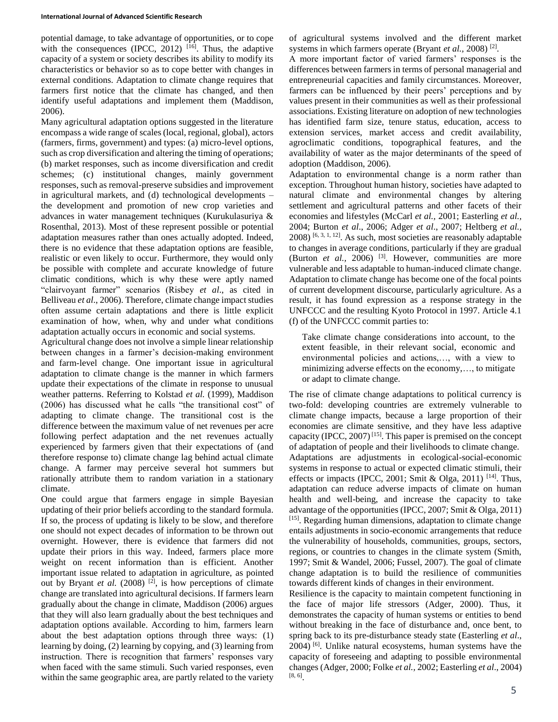potential damage, to take advantage of opportunities, or to cope with the consequences (IPCC, 2012)  $[16]$ . Thus, the adaptive capacity of a system or society describes its ability to modify its characteristics or behavior so as to cope better with changes in external conditions. Adaptation to climate change requires that farmers first notice that the climate has changed, and then identify useful adaptations and implement them (Maddison, 2006).

Many agricultural adaptation options suggested in the literature encompass a wide range of scales (local, regional, global), actors (farmers, firms, government) and types: (a) micro-level options, such as crop diversification and altering the timing of operations; (b) market responses, such as income diversification and credit schemes; (c) institutional changes, mainly government responses, such as removal-preserve subsidies and improvement in agricultural markets, and (d) technological developments – the development and promotion of new crop varieties and advances in water management techniques (Kurukulasuriya & Rosenthal, 2013). Most of these represent possible or potential adaptation measures rather than ones actually adopted. Indeed, there is no evidence that these adaptation options are feasible, realistic or even likely to occur. Furthermore, they would only be possible with complete and accurate knowledge of future climatic conditions, which is why these were aptly named "clairvoyant farmer" scenarios (Risbey *et al*., as cited in Belliveau *et al*., 2006). Therefore, climate change impact studies often assume certain adaptations and there is little explicit examination of how, when, why and under what conditions adaptation actually occurs in economic and social systems.

Agricultural change does not involve a simple linear relationship between changes in a farmer's decision-making environment and farm-level change. One important issue in agricultural adaptation to climate change is the manner in which farmers update their expectations of the climate in response to unusual weather patterns. Referring to Kolstad *et al.* (1999), Maddison (2006) has discussed what he calls "the transitional cost" of adapting to climate change. The transitional cost is the difference between the maximum value of net revenues per acre following perfect adaptation and the net revenues actually experienced by farmers given that their expectations of (and therefore response to) climate change lag behind actual climate change. A farmer may perceive several hot summers but rationally attribute them to random variation in a stationary climate.

One could argue that farmers engage in simple Bayesian updating of their prior beliefs according to the standard formula. If so, the process of updating is likely to be slow, and therefore one should not expect decades of information to be thrown out overnight. However, there is evidence that farmers did not update their priors in this way. Indeed, farmers place more weight on recent information than is efficient. Another important issue related to adaptation in agriculture, as pointed out by Bryant *et al.* (2008) <sup>[2]</sup>, is how perceptions of climate change are translated into agricultural decisions. If farmers learn gradually about the change in climate, Maddison (2006) argues that they will also learn gradually about the best techniques and adaptation options available. According to him, farmers learn about the best adaptation options through three ways: (1) learning by doing, (2) learning by copying, and (3) learning from instruction. There is recognition that farmers' responses vary when faced with the same stimuli. Such varied responses, even within the same geographic area, are partly related to the variety of agricultural systems involved and the different market systems in which farmers operate (Bryant *et al.*, 2008)<sup>[2]</sup>.

A more important factor of varied farmers' responses is the differences between farmers in terms of personal managerial and entrepreneurial capacities and family circumstances. Moreover, farmers can be influenced by their peers' perceptions and by values present in their communities as well as their professional associations. Existing literature on adoption of new technologies has identified farm size, tenure status, education, access to extension services, market access and credit availability, agroclimatic conditions, topographical features, and the availability of water as the major determinants of the speed of adoption (Maddison, 2006).

Adaptation to environmental change is a norm rather than exception. Throughout human history, societies have adapted to natural climate and environmental changes by altering settlement and agricultural patterns and other facets of their economies and lifestyles (McCarl *et al.,* 2001; Easterling *et al.,*  2004; Burton *et al*., 2006; Adger *et al*., 2007; Heltberg *et al.,*   $2008$ ) [6, 3, 1, 12]. As such, most societies are reasonably adaptable to changes in average conditions, particularly if they are gradual (Burton *et al.*, 2006) <sup>[3]</sup>. However, communities are more vulnerable and less adaptable to human-induced climate change. Adaptation to climate change has become one of the focal points of current development discourse, particularly agriculture. As a result, it has found expression as a response strategy in the UNFCCC and the resulting Kyoto Protocol in 1997. Article 4.1 (f) of the UNFCCC commit parties to:

Take climate change considerations into account, to the extent feasible, in their relevant social, economic and environmental policies and actions,…, with a view to minimizing adverse effects on the economy,…, to mitigate or adapt to climate change.

The rise of climate change adaptations to political currency is two-fold: developing countries are extremely vulnerable to climate change impacts, because a large proportion of their economies are climate sensitive, and they have less adaptive capacity (IPCC, 2007)<sup>[15]</sup>. This paper is premised on the concept of adaptation of people and their livelihoods to climate change. Adaptations are adjustments in ecological*-*social*-*economic systems in response to actual or expected climatic stimuli, their effects or impacts (IPCC, 2001; Smit & Olga, 2011)  $[14]$ . Thus, adaptation can reduce adverse impacts of climate on human health and well-being, and increase the capacity to take advantage of the opportunities (IPCC, 2007; Smit & Olga, 2011) [15]. Regarding human dimensions, adaptation to climate change entails adjustments in socio-economic arrangements that reduce the vulnerability of households, communities, groups, sectors, regions, or countries to changes in the climate system (Smith, 1997; Smit & Wandel, 2006; Fussel, 2007). The goal of climate change adaptation is to build the resilience of communities towards different kinds of changes in their environment.

Resilience is the capacity to maintain competent functioning in the face of major life stressors (Adger, 2000). Thus, it demonstrates the capacity of human systems or entities to bend without breaking in the face of disturbance and, once bent, to spring back to its pre-disturbance steady state (Easterling *et al*., 2004) [6]. Unlike natural ecosystems, human systems have the capacity of foreseeing and adapting to possible environmental changes (Adger, 2000; Folke *et al.,* 2002; Easterling *et al*., 2004) [8, 6] .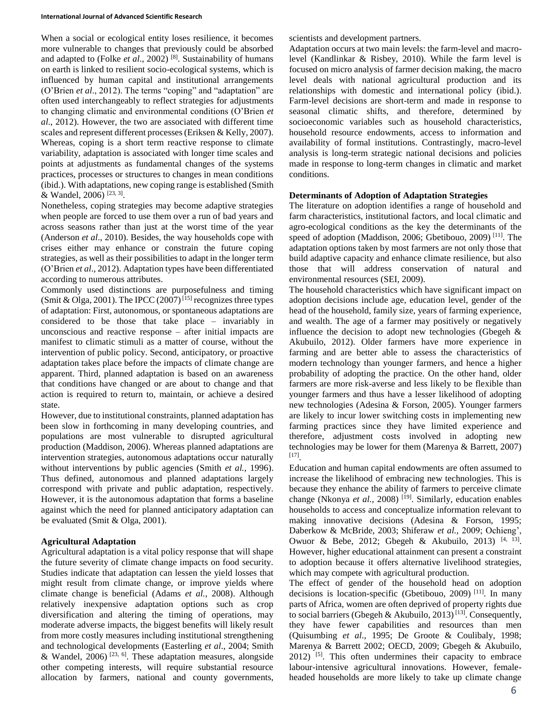When a social or ecological entity loses resilience, it becomes more vulnerable to changes that previously could be absorbed and adapted to (Folke *et al*., 2002) [8]. Sustainability of humans on earth is linked to resilient socio-ecological systems, which is influenced by human capital and institutional arrangements (O'Brien *et al*., 2012). The terms "coping" and "adaptation" are often used interchangeably to reflect strategies for adjustments to changing climatic and environmental conditions (O'Brien *et al*., 2012). However, the two are associated with different time scales and represent different processes (Eriksen & Kelly, 2007). Whereas, coping is a short term reactive response to climate variability, adaptation is associated with longer time scales and points at adjustments as fundamental changes of the systems practices, processes or structures to changes in mean conditions (ibid.). With adaptations, new coping range is established (Smith & Wandel, 2006)<sup>[23, 3]</sup>.

Nonetheless, coping strategies may become adaptive strategies when people are forced to use them over a run of bad years and across seasons rather than just at the worst time of the year (Anderson *et al*., 2010). Besides, the way households cope with crises either may enhance or constrain the future coping strategies, as well as their possibilities to adapt in the longer term (O'Brien *et al*., 2012). Adaptation types have been differentiated according to numerous attributes.

Commonly used distinctions are purposefulness and timing (Smit & Olga, 2001). The IPCC (2007)<sup>[15]</sup> recognizes three types of adaptation: First, autonomous, or spontaneous adaptations are considered to be those that take place – invariably in unconscious and reactive response – after initial impacts are manifest to climatic stimuli as a matter of course, without the intervention of public policy. Second, anticipatory, or proactive adaptation takes place before the impacts of climate change are apparent. Third, planned adaptation is based on an awareness that conditions have changed or are about to change and that action is required to return to, maintain, or achieve a desired state.

However, due to institutional constraints, planned adaptation has been slow in forthcoming in many developing countries, and populations are most vulnerable to disrupted agricultural production (Maddison, 2006). Whereas planned adaptations are intervention strategies, autonomous adaptations occur naturally without interventions by public agencies (Smith *et al.,* 1996). Thus defined, autonomous and planned adaptations largely correspond with private and public adaptation, respectively. However, it is the autonomous adaptation that forms a baseline against which the need for planned anticipatory adaptation can be evaluated (Smit & Olga, 2001).

## **Agricultural Adaptation**

Agricultural adaptation is a vital policy response that will shape the future severity of climate change impacts on food security. Studies indicate that adaptation can lessen the yield losses that might result from climate change, or improve yields where climate change is beneficial (Adams *et al.,* 2008). Although relatively inexpensive adaptation options such as crop diversification and altering the timing of operations, may moderate adverse impacts, the biggest benefits will likely result from more costly measures including institutional strengthening and technological developments (Easterling *et al*., 2004; Smith & Wandel,  $2006$ <sup>[23, 6]</sup>. These adaptation measures, alongside other competing interests, will require substantial resource allocation by farmers, national and county governments, scientists and development partners.

Adaptation occurs at two main levels: the farm-level and macrolevel (Kandlinkar & Risbey, 2010). While the farm level is focused on micro analysis of farmer decision making, the macro level deals with national agricultural production and its relationships with domestic and international policy (ibid.). Farm-level decisions are short-term and made in response to seasonal climatic shifts, and therefore, determined by socioeconomic variables such as household characteristics, household resource endowments, access to information and availability of formal institutions. Contrastingly, macro-level analysis is long-term strategic national decisions and policies made in response to long-term changes in climatic and market conditions.

## **Determinants of Adoption of Adaptation Strategies**

The literature on adoption identifies a range of household and farm characteristics, institutional factors, and local climatic and agro-ecological conditions as the key the determinants of the speed of adoption (Maddison, 2006; Gbetibouo, 2009)<sup>[11]</sup>. The adaptation options taken by most farmers are not only those that build adaptive capacity and enhance climate resilience, but also those that will address conservation of natural and environmental resources (SEI, 2009).

The household characteristics which have significant impact on adoption decisions include age, education level, gender of the head of the household, family size, years of farming experience, and wealth. The age of a farmer may positively or negatively influence the decision to adopt new technologies (Gbegeh & Akubuilo, 2012). Older farmers have more experience in farming and are better able to assess the characteristics of modern technology than younger farmers, and hence a higher probability of adopting the practice. On the other hand, older farmers are more risk-averse and less likely to be flexible than younger farmers and thus have a lesser likelihood of adopting new technologies (Adesina & Forson, 2005). Younger farmers are likely to incur lower switching costs in implementing new farming practices since they have limited experience and therefore, adjustment costs involved in adopting new technologies may be lower for them (Marenya & Barrett, 2007) [17] .

Education and human capital endowments are often assumed to increase the likelihood of embracing new technologies. This is because they enhance the ability of farmers to perceive climate change (Nkonya *et al.*, 2008) <sup>[19]</sup>. Similarly, education enables households to access and conceptualize information relevant to making innovative decisions (Adesina & Forson, 1995; Daberkow & McBride, 2003; Shiferaw *et al.,* 2009; Ochieng', Owuor & Bebe, 2012; Gbegeh & Akubuilo, 2013) <sup>[4, 13]</sup>. However, higher educational attainment can present a constraint to adoption because it offers alternative livelihood strategies, which may compete with agricultural production.

The effect of gender of the household head on adoption decisions is location-specific (Gbetibouo, 2009)<sup>[11]</sup>. In many parts of Africa, women are often deprived of property rights due to social barriers (Gbegeh & Akubuilo, 2013)<sup>[13]</sup>. Consequently, they have fewer capabilities and resources than men (Quisumbing *et al*., 1995; De Groote & Coulibaly, 1998; Marenya & Barrett 2002; OECD, 2009; Gbegeh & Akubuilo,  $2012$ ) [5]. This often undermines their capacity to embrace labour-intensive agricultural innovations. However, femaleheaded households are more likely to take up climate change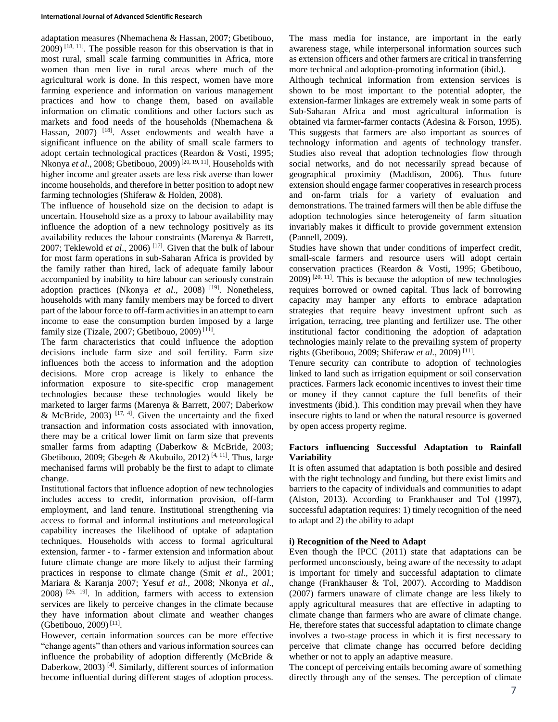adaptation measures (Nhemachena & Hassan, 2007; Gbetibouo,  $2009$ ) <sup>[18, 11]</sup>. The possible reason for this observation is that in most rural, small scale farming communities in Africa, more women than men live in rural areas where much of the agricultural work is done. In this respect, women have more farming experience and information on various management practices and how to change them, based on available information on climatic conditions and other factors such as markets and food needs of the households (Nhemachena & Hassan, 2007) <sup>[18]</sup>. Asset endowments and wealth have a significant influence on the ability of small scale farmers to adopt certain technological practices (Reardon & Vosti, 1995; Nkonya *et al.*, 2008; Gbetibouo, 2009)<sup>[20, 19, 11]. Households with</sup> higher income and greater assets are less risk averse than lower income households, and therefore in better position to adopt new farming technologies (Shiferaw & Holden, 2008).

The influence of household size on the decision to adapt is uncertain. Household size as a proxy to labour availability may influence the adoption of a new technology positively as its availability reduces the labour constraints (Marenya & Barrett, 2007; Teklewold *et al*., 2006) [17]. Given that the bulk of labour for most farm operations in sub-Saharan Africa is provided by the family rather than hired, lack of adequate family labour accompanied by inability to hire labour can seriously constrain adoption practices (Nkonya *et al*., 2008) [19]. Nonetheless, households with many family members may be forced to divert part of the labour force to off-farm activities in an attempt to earn income to ease the consumption burden imposed by a large family size (Tizale, 2007; Gbetibouo, 2009)<sup>[11]</sup>.

The farm characteristics that could influence the adoption decisions include farm size and soil fertility. Farm size influences both the access to information and the adoption decisions. More crop acreage is likely to enhance the information exposure to site-specific crop management technologies because these technologies would likely be marketed to larger farms (Marenya & Barrett, 2007; Daberkow & McBride,  $2003$ ) [17, 4]. Given the uncertainty and the fixed transaction and information costs associated with innovation, there may be a critical lower limit on farm size that prevents smaller farms from adapting (Daberkow & McBride, 2003; Gbetibouo, 2009; Gbegeh & Akubuilo, 2012)<sup>[4, 11]</sup>. Thus, large mechanised farms will probably be the first to adapt to climate change.

Institutional factors that influence adoption of new technologies includes access to credit, information provision, off-farm employment, and land tenure. Institutional strengthening via access to formal and informal institutions and meteorological capability increases the likelihood of uptake of adaptation techniques. Households with access to formal agricultural extension, farmer - to - farmer extension and information about future climate change are more likely to adjust their farming practices in response to climate change (Smit *et al*., 2001; Mariara & Karanja 2007; Yesuf *et al.,* 2008; Nkonya *et al*., 2008) [26, 19]. In addition, farmers with access to extension services are likely to perceive changes in the climate because they have information about climate and weather changes (Gbetibouo, 2009) [11] .

However, certain information sources can be more effective "change agents" than others and various information sources can influence the probability of adoption differently (McBride & Daberkow, 2003)<sup>[4]</sup>. Similarly, different sources of information become influential during different stages of adoption process.

The mass media for instance, are important in the early awareness stage, while interpersonal information sources such as extension officers and other farmers are critical in transferring more technical and adoption-promoting information (ibid.).

Although technical information from extension services is shown to be most important to the potential adopter, the extension-farmer linkages are extremely weak in some parts of Sub-Saharan Africa and most agricultural information is obtained via farmer-farmer contacts (Adesina & Forson, 1995). This suggests that farmers are also important as sources of technology information and agents of technology transfer. Studies also reveal that adoption technologies flow through social networks, and do not necessarily spread because of geographical proximity (Maddison, 2006). Thus future extension should engage farmer cooperatives in research process and on-farm trials for a variety of evaluation and demonstrations. The trained farmers will then be able diffuse the adoption technologies since heterogeneity of farm situation invariably makes it difficult to provide government extension (Pannell, 2009).

Studies have shown that under conditions of imperfect credit, small-scale farmers and resource users will adopt certain conservation practices (Reardon & Vosti, 1995; Gbetibouo,  $2009$ )  $[20, 11]$ . This is because the adoption of new technologies requires borrowed or owned capital. Thus lack of borrowing capacity may hamper any efforts to embrace adaptation strategies that require heavy investment upfront such as irrigation, terracing, tree planting and fertilizer use. The other institutional factor conditioning the adoption of adaptation technologies mainly relate to the prevailing system of property rights (Gbetibouo, 2009; Shiferaw *et al.,* 2009) [11] .

Tenure security can contribute to adoption of technologies linked to land such as irrigation equipment or soil conservation practices. Farmers lack economic incentives to invest their time or money if they cannot capture the full benefits of their investments (ibid.). This condition may prevail when they have insecure rights to land or when the natural resource is governed by open access property regime.

## **Factors influencing Successful Adaptation to Rainfall Variability**

It is often assumed that adaptation is both possible and desired with the right technology and funding, but there exist limits and barriers to the capacity of individuals and communities to adapt (Alston, 2013). According to Frankhauser and Tol (1997), successful adaptation requires: 1) timely recognition of the need to adapt and 2) the ability to adapt

### **i) Recognition of the Need to Adapt**

Even though the IPCC (2011) state that adaptations can be performed unconsciously, being aware of the necessity to adapt is important for timely and successful adaptation to climate change (Frankhauser & Tol, 2007). According to Maddison (2007) farmers unaware of climate change are less likely to apply agricultural measures that are effective in adapting to climate change than farmers who are aware of climate change. He, therefore states that successful adaptation to climate change involves a two-stage process in which it is first necessary to perceive that climate change has occurred before deciding whether or not to apply an adaptive measure.

The concept of perceiving entails becoming aware of something directly through any of the senses. The perception of climate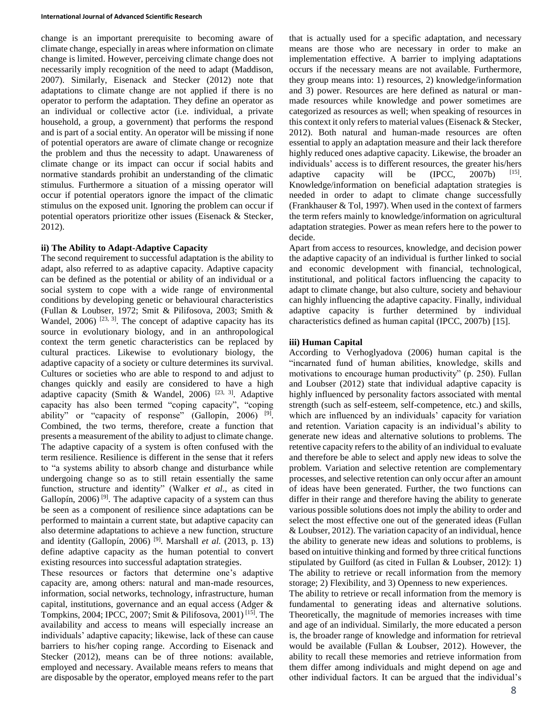change is an important prerequisite to becoming aware of climate change, especially in areas where information on climate change is limited. However, perceiving climate change does not necessarily imply recognition of the need to adapt (Maddison, 2007). Similarly, Eisenack and Stecker (2012) note that adaptations to climate change are not applied if there is no operator to perform the adaptation. They define an operator as an individual or collective actor (i.e. individual, a private household, a group, a government) that performs the respond and is part of a social entity. An operator will be missing if none of potential operators are aware of climate change or recognize the problem and thus the necessity to adapt. Unawareness of climate change or its impact can occur if social habits and normative standards prohibit an understanding of the climatic stimulus. Furthermore a situation of a missing operator will occur if potential operators ignore the impact of the climatic stimulus on the exposed unit. Ignoring the problem can occur if potential operators prioritize other issues (Eisenack & Stecker, 2012).

## **ii) The Ability to Adapt-Adaptive Capacity**

The second requirement to successful adaptation is the ability to adapt, also referred to as adaptive capacity. Adaptive capacity can be defined as the potential or ability of an individual or a social system to cope with a wide range of environmental conditions by developing genetic or behavioural characteristics (Fullan & Loubser, 1972; Smit & Pilifosova, 2003; Smith & Wandel,  $2006$ ) <sup>[23, 3]</sup>. The concept of adaptive capacity has its source in evolutionary biology, and in an anthropological context the term genetic characteristics can be replaced by cultural practices. Likewise to evolutionary biology, the adaptive capacity of a society or culture determines its survival. Cultures or societies who are able to respond to and adjust to changes quickly and easily are considered to have a high adaptive capacity (Smith & Wandel, 2006)  $[23, 3]$ . Adaptive capacity has also been termed "coping capacity", "coping ability" or "capacity of response" (Gallopín, 2006) <sup>[9]</sup>. Combined, the two terms, therefore, create a function that presents a measurement of the ability to adjust to climate change. The adaptive capacity of a system is often confused with the term resilience. Resilience is different in the sense that it refers to "a systems ability to absorb change and disturbance while undergoing change so as to still retain essentially the same function, structure and identity" (Walker *et al*., as cited in Gallopín, 2006)<sup>[9]</sup>. The adaptive capacity of a system can thus be seen as a component of resilience since adaptations can be performed to maintain a current state, but adaptive capacity can also determine adaptations to achieve a new function, structure and identity (Gallopín, 2006) [9]. Marshall *et al.* (2013, p. 13) define adaptive capacity as the human potential to convert existing resources into successful adaptation strategies.

These resources or factors that determine one's adaptive capacity are, among others: natural and man-made resources, information, social networks, technology, infrastructure, human capital, institutions, governance and an equal access (Adger & Tompkins, 2004; IPCC, 2007; Smit & Pilifosova, 2001) [15]. The availability and access to means will especially increase an individuals' adaptive capacity; likewise, lack of these can cause barriers to his/her coping range. According to Eisenack and Stecker (2012), means can be of three notions: available, employed and necessary. Available means refers to means that are disposable by the operator, employed means refer to the part

that is actually used for a specific adaptation, and necessary means are those who are necessary in order to make an implementation effective. A barrier to implying adaptations occurs if the necessary means are not available. Furthermore, they group means into: 1) resources, 2) knowledge/information and 3) power. Resources are here defined as natural or manmade resources while knowledge and power sometimes are categorized as resources as well; when speaking of resources in this context it only refers to material values (Eisenack & Stecker, 2012). Both natural and human-made resources are often essential to apply an adaptation measure and their lack therefore highly reduced ones adaptive capacity. Likewise, the broader an individuals' access is to different resources, the greater his/hers adaptive capacity will be  $(IPCC, 2007b)$ . Knowledge/information on beneficial adaptation strategies is needed in order to adapt to climate change successfully (Frankhauser & Tol, 1997). When used in the context of farmers the term refers mainly to knowledge/information on agricultural adaptation strategies. Power as mean refers here to the power to decide.

Apart from access to resources, knowledge, and decision power the adaptive capacity of an individual is further linked to social and economic development with financial, technological, institutional, and political factors influencing the capacity to adapt to climate change, but also culture, society and behaviour can highly influencing the adaptive capacity. Finally, individual adaptive capacity is further determined by individual characteristics defined as human capital (IPCC, 2007b) [15].

## **iii) Human Capital**

According to Verhoglyadova (2006) human capital is the "incarnated fund of human abilities, knowledge, skills and motivations to encourage human productivity" (p. 250). Fullan and Loubser (2012) state that individual adaptive capacity is highly influenced by personality factors associated with mental strength (such as self-esteem, self-competence, etc.) and skills, which are influenced by an individuals' capacity for variation and retention. Variation capacity is an individual's ability to generate new ideas and alternative solutions to problems. The retentive capacity refers to the ability of an individual to evaluate and therefore be able to select and apply new ideas to solve the problem. Variation and selective retention are complementary processes, and selective retention can only occur after an amount of ideas have been generated. Further, the two functions can differ in their range and therefore having the ability to generate various possible solutions does not imply the ability to order and select the most effective one out of the generated ideas (Fullan & Loubser, 2012). The variation capacity of an individual, hence the ability to generate new ideas and solutions to problems, is based on intuitive thinking and formed by three critical functions stipulated by Guilford (as cited in Fullan & Loubser, 2012): 1) The ability to retrieve or recall information from the memory storage; 2) Flexibility, and 3) Openness to new experiences.

The ability to retrieve or recall information from the memory is fundamental to generating ideas and alternative solutions. Theoretically, the magnitude of memories increases with time and age of an individual. Similarly, the more educated a person is, the broader range of knowledge and information for retrieval would be available (Fullan & Loubser, 2012). However, the ability to recall these memories and retrieve information from them differ among individuals and might depend on age and other individual factors. It can be argued that the individual's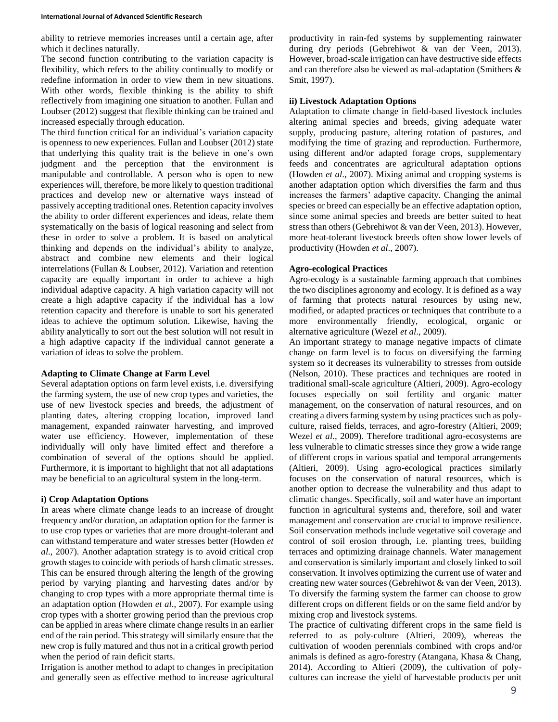ability to retrieve memories increases until a certain age, after which it declines naturally.

The second function contributing to the variation capacity is flexibility, which refers to the ability continually to modify or redefine information in order to view them in new situations. With other words, flexible thinking is the ability to shift reflectively from imagining one situation to another. Fullan and Loubser (2012) suggest that flexible thinking can be trained and increased especially through education.

The third function critical for an individual's variation capacity is openness to new experiences. Fullan and Loubser (2012) state that underlying this quality trait is the believe in one's own judgment and the perception that the environment is manipulable and controllable. A person who is open to new experiences will, therefore, be more likely to question traditional practices and develop new or alternative ways instead of passively accepting traditional ones. Retention capacity involves the ability to order different experiences and ideas, relate them systematically on the basis of logical reasoning and select from these in order to solve a problem. It is based on analytical thinking and depends on the individual's ability to analyze, abstract and combine new elements and their logical interrelations (Fullan & Loubser, 2012). Variation and retention capacity are equally important in order to achieve a high individual adaptive capacity. A high variation capacity will not create a high adaptive capacity if the individual has a low retention capacity and therefore is unable to sort his generated ideas to achieve the optimum solution. Likewise, having the ability analytically to sort out the best solution will not result in a high adaptive capacity if the individual cannot generate a variation of ideas to solve the problem.

### **Adapting to Climate Change at Farm Level**

Several adaptation options on farm level exists, i.e. diversifying the farming system, the use of new crop types and varieties, the use of new livestock species and breeds, the adjustment of planting dates, altering cropping location, improved land management, expanded rainwater harvesting, and improved water use efficiency. However, implementation of these individually will only have limited effect and therefore a combination of several of the options should be applied. Furthermore, it is important to highlight that not all adaptations may be beneficial to an agricultural system in the long-term.

### **i) Crop Adaptation Options**

In areas where climate change leads to an increase of drought frequency and/or duration, an adaptation option for the farmer is to use crop types or varieties that are more drought-tolerant and can withstand temperature and water stresses better (Howden *et al*., 2007). Another adaptation strategy is to avoid critical crop growth stages to coincide with periods of harsh climatic stresses. This can be ensured through altering the length of the growing period by varying planting and harvesting dates and/or by changing to crop types with a more appropriate thermal time is an adaptation option (Howden *et al*., 2007). For example using crop types with a shorter growing period than the previous crop can be applied in areas where climate change results in an earlier end of the rain period. This strategy will similarly ensure that the new crop is fully matured and thus not in a critical growth period when the period of rain deficit starts.

Irrigation is another method to adapt to changes in precipitation and generally seen as effective method to increase agricultural

productivity in rain-fed systems by supplementing rainwater during dry periods (Gebrehiwot & van der Veen, 2013). However, broad-scale irrigation can have destructive side effects and can therefore also be viewed as mal-adaptation (Smithers & Smit, 1997).

#### **ii) Livestock Adaptation Options**

Adaptation to climate change in field-based livestock includes altering animal species and breeds, giving adequate water supply, producing pasture, altering rotation of pastures, and modifying the time of grazing and reproduction. Furthermore, using different and/or adapted forage crops, supplementary feeds and concentrates are agricultural adaptation options (Howden *et al*., 2007). Mixing animal and cropping systems is another adaptation option which diversifies the farm and thus increases the farmers' adaptive capacity. Changing the animal species or breed can especially be an effective adaptation option, since some animal species and breeds are better suited to heat stress than others (Gebrehiwot & van der Veen, 2013). However, more heat-tolerant livestock breeds often show lower levels of productivity (Howden *et al*., 2007).

### **Agro-ecological Practices**

Agro-ecology is a sustainable farming approach that combines the two disciplines agronomy and ecology. It is defined as a way of farming that protects natural resources by using new, modified, or adapted practices or techniques that contribute to a more environmentally friendly, ecological, organic or alternative agriculture (Wezel *et al*., 2009).

An important strategy to manage negative impacts of climate change on farm level is to focus on diversifying the farming system so it decreases its vulnerability to stresses from outside (Nelson, 2010). These practices and techniques are rooted in traditional small-scale agriculture (Altieri, 2009). Agro-ecology focuses especially on soil fertility and organic matter management, on the conservation of natural resources, and on creating a divers farming system by using practices such as polyculture, raised fields, terraces, and agro-forestry (Altieri, 2009; Wezel *et al*., 2009). Therefore traditional agro-ecosystems are less vulnerable to climatic stresses since they grow a wide range of different crops in various spatial and temporal arrangements (Altieri, 2009). Using agro-ecological practices similarly focuses on the conservation of natural resources, which is another option to decrease the vulnerability and thus adapt to climatic changes. Specifically, soil and water have an important function in agricultural systems and, therefore, soil and water management and conservation are crucial to improve resilience. Soil conservation methods include vegetative soil coverage and control of soil erosion through, i.e. planting trees, building terraces and optimizing drainage channels. Water management and conservation is similarly important and closely linked to soil conservation. It involves optimizing the current use of water and creating new water sources (Gebrehiwot & van der Veen, 2013). To diversify the farming system the farmer can choose to grow different crops on different fields or on the same field and/or by mixing crop and livestock systems.

The practice of cultivating different crops in the same field is referred to as poly-culture (Altieri, 2009), whereas the cultivation of wooden perennials combined with crops and/or animals is defined as agro-forestry (Atangana, Khasa & Chang, 2014). According to Altieri (2009), the cultivation of polycultures can increase the yield of harvestable products per unit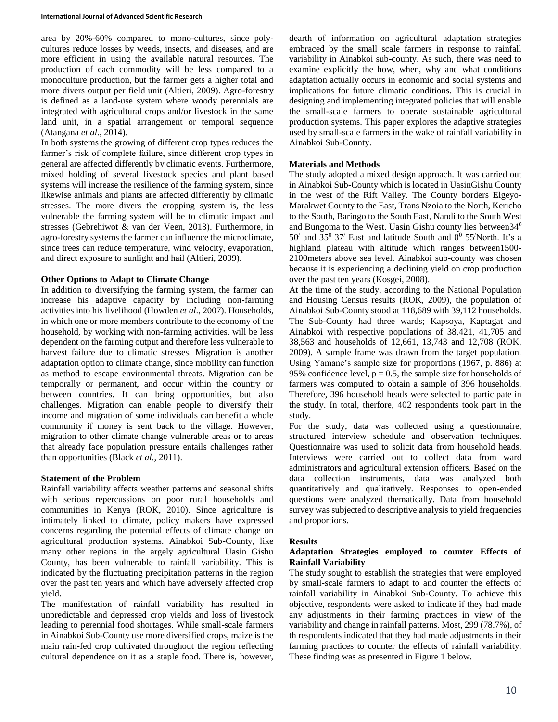area by 20%-60% compared to mono-cultures, since polycultures reduce losses by weeds, insects, and diseases, and are more efficient in using the available natural resources. The production of each commodity will be less compared to a monoculture production, but the farmer gets a higher total and more divers output per field unit (Altieri, 2009). Agro-forestry is defined as a land-use system where woody perennials are integrated with agricultural crops and/or livestock in the same land unit, in a spatial arrangement or temporal sequence (Atangana *et al*., 2014).

In both systems the growing of different crop types reduces the farmer's risk of complete failure, since different crop types in general are affected differently by climatic events. Furthermore, mixed holding of several livestock species and plant based systems will increase the resilience of the farming system, since likewise animals and plants are affected differently by climatic stresses. The more divers the cropping system is, the less vulnerable the farming system will be to climatic impact and stresses (Gebrehiwot & van der Veen, 2013). Furthermore, in agro-forestry systems the farmer can influence the microclimate, since trees can reduce temperature, wind velocity, evaporation, and direct exposure to sunlight and hail (Altieri, 2009).

### **Other Options to Adapt to Climate Change**

In addition to diversifying the farming system, the farmer can increase his adaptive capacity by including non-farming activities into his livelihood (Howden *et al*., 2007). Households, in which one or more members contribute to the economy of the household, by working with non-farming activities, will be less dependent on the farming output and therefore less vulnerable to harvest failure due to climatic stresses. Migration is another adaptation option to climate change, since mobility can function as method to escape environmental threats. Migration can be temporally or permanent, and occur within the country or between countries. It can bring opportunities, but also challenges. Migration can enable people to diversify their income and migration of some individuals can benefit a whole community if money is sent back to the village. However, migration to other climate change vulnerable areas or to areas that already face population pressure entails challenges rather than opportunities (Black *et al.,* 2011).

### **Statement of the Problem**

Rainfall variability affects weather patterns and seasonal shifts with serious repercussions on poor rural households and communities in Kenya (ROK, 2010). Since agriculture is intimately linked to climate, policy makers have expressed concerns regarding the potential effects of climate change on agricultural production systems. Ainabkoi Sub-County, like many other regions in the argely agricultural Uasin Gishu County, has been vulnerable to rainfall variability. This is indicated by the fluctuating precipitation patterns in the region over the past ten years and which have adversely affected crop yield.

The manifestation of rainfall variability has resulted in unpredictable and depressed crop yields and loss of livestock leading to perennial food shortages. While small-scale farmers in Ainabkoi Sub-County use more diversified crops, maize is the main rain-fed crop cultivated throughout the region reflecting cultural dependence on it as a staple food. There is, however,

dearth of information on agricultural adaptation strategies embraced by the small scale farmers in response to rainfall variability in Ainabkoi sub-county. As such, there was need to examine explicitly the how, when, why and what conditions adaptation actually occurs in economic and social systems and implications for future climatic conditions. This is crucial in designing and implementing integrated policies that will enable the small-scale farmers to operate sustainable agricultural production systems. This paper explores the adaptive strategies used by small-scale farmers in the wake of rainfall variability in Ainabkoi Sub-County.

## **Materials and Methods**

The study adopted a mixed design approach. It was carried out in Ainabkoi Sub-County which is located in UasinGishu County in the west of the Rift Valley. The County borders Elgeyo-Marakwet County to the East, Trans Nzoia to the North, Kericho to the South, Baringo to the South East, Nandi to the South West and Bungoma to the West. Uasin Gishu county lies between34<sup>0</sup>  $50'$  and  $35^{\circ}$   $37'$  East and latitude South and  $0^{\circ}$   $55'$ North. It's a highland plateau with altitude which ranges between1500- 2100meters above sea level. Ainabkoi sub-county was chosen because it is experiencing a declining yield on crop production over the past ten years (Kosgei, 2008).

At the time of the study, according to the National Population and Housing Census results (ROK, 2009), the population of Ainabkoi Sub-County stood at 118,689 with 39,112 households. The Sub-County had three wards; Kapsoya, Kaptagat and Ainabkoi with respective populations of 38,421, 41,705 and 38,563 and households of 12,661, 13,743 and 12,708 (ROK, 2009). A sample frame was drawn from the target population. Using Yamane's sample size for proportions (1967, p. 886) at 95% confidence level,  $p = 0.5$ , the sample size for households of farmers was computed to obtain a sample of 396 households. Therefore, 396 household heads were selected to participate in the study. In total, therfore, 402 respondents took part in the study.

For the study, data was collected using a questionnaire, structured interview schedule and observation techniques. Questionnaire was used to solicit data from household heads. Interviews were carried out to collect data from ward administrators and agricultural extension officers. Based on the data collection instruments, data was analyzed both quantitatively and qualitatively. Responses to open-ended questions were analyzed thematically. Data from household survey was subjected to descriptive analysis to yield frequencies and proportions.

## **Results**

## **Adaptation Strategies employed to counter Effects of Rainfall Variability**

The study sought to establish the strategies that were employed by small-scale farmers to adapt to and counter the effects of rainfall variability in Ainabkoi Sub-County. To achieve this objective, respondents were asked to indicate if they had made any adjustments in their farming practices in view of the variability and change in rainfall patterns. Most, 299 (78.7%), of th respondents indicated that they had made adjustments in their farming practices to counter the effects of rainfall variability. These finding was as presented in Figure 1 below.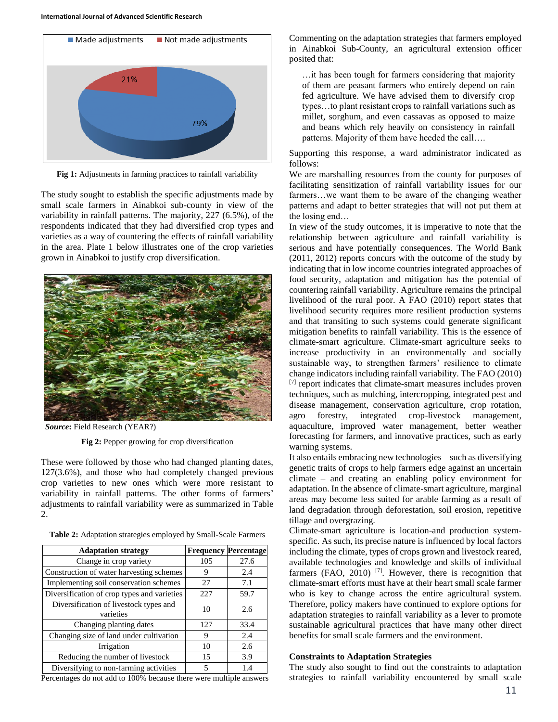

**Fig 1:** Adjustments in farming practices to rainfall variability

The study sought to establish the specific adjustments made by small scale farmers in Ainabkoi sub-county in view of the variability in rainfall patterns. The majority, 227 (6.5%), of the respondents indicated that they had diversified crop types and varieties as a way of countering the effects of rainfall variability in the area. Plate 1 below illustrates one of the crop varieties grown in Ainabkoi to justify crop diversification.



*Source***:** Field Research (YEAR?)

**Fig 2:** Pepper growing for crop diversification

These were followed by those who had changed planting dates, 127(3.6%), and those who had completely changed previous crop varieties to new ones which were more resistant to variability in rainfall patterns. The other forms of farmers' adjustments to rainfall variability were as summarized in Table 2.

**Table 2:** Adaptation strategies employed by Small-Scale Farmers

| <b>Adaptation strategy</b>                          |     | <b>Frequency Percentage</b> |
|-----------------------------------------------------|-----|-----------------------------|
| Change in crop variety                              | 105 | 27.6                        |
| Construction of water harvesting schemes            | 9   | 2.4                         |
| Implementing soil conservation schemes              | 27  | 7.1                         |
| Diversification of crop types and varieties         | 227 | 59.7                        |
| Diversification of livestock types and<br>varieties | 10  | 2.6                         |
| Changing planting dates                             | 127 | 33.4                        |
| Changing size of land under cultivation             | 9   | 2.4                         |
| Irrigation                                          | 10  | 2.6                         |
| Reducing the number of livestock                    | 15  | 3.9                         |
| Diversifying to non-farming activities              | 5   | 1.4                         |

Percentages do not add to 100% because there were multiple answers

Commenting on the adaptation strategies that farmers employed in Ainabkoi Sub-County, an agricultural extension officer posited that:

…it has been tough for farmers considering that majority of them are peasant farmers who entirely depend on rain fed agriculture. We have advised them to diversify crop types…to plant resistant crops to rainfall variations such as millet, sorghum, and even cassavas as opposed to maize and beans which rely heavily on consistency in rainfall patterns. Majority of them have heeded the call….

Supporting this response, a ward administrator indicated as follows:

We are marshalling resources from the county for purposes of facilitating sensitization of rainfall variability issues for our farmers…we want them to be aware of the changing weather patterns and adapt to better strategies that will not put them at the losing end…

In view of the study outcomes, it is imperative to note that the relationship between agriculture and rainfall variability is serious and have potentially consequences. The World Bank (2011, 2012) reports concurs with the outcome of the study by indicating that in low income countries integrated approaches of food security, adaptation and mitigation has the potential of countering rainfall variability. Agriculture remains the principal livelihood of the rural poor. A FAO (2010) report states that livelihood security requires more resilient production systems and that transiting to such systems could generate significant mitigation benefits to rainfall variability. This is the essence of climate-smart agriculture. Climate-smart agriculture seeks to increase productivity in an environmentally and socially sustainable way, to strengthen farmers' resilience to climate change indicators including rainfall variability. The FAO (2010) [7] report indicates that climate-smart measures includes proven techniques, such as mulching, intercropping, integrated pest and disease management, conservation agriculture, crop rotation, agro forestry, integrated crop-livestock management, aquaculture, improved water management, better weather forecasting for farmers, and innovative practices, such as early warning systems.

It also entails embracing new technologies – such as diversifying genetic traits of crops to help farmers edge against an uncertain climate – and creating an enabling policy environment for adaptation. In the absence of climate-smart agriculture, marginal areas may become less suited for arable farming as a result of land degradation through deforestation, soil erosion, repetitive tillage and overgrazing.

Climate-smart agriculture is location-and production systemspecific. As such, its precise nature is influenced by local factors including the climate, types of crops grown and livestock reared, available technologies and knowledge and skills of individual farmers (FAO, 2010)<sup>[7]</sup>. However, there is recognition that climate-smart efforts must have at their heart small scale farmer who is key to change across the entire agricultural system. Therefore, policy makers have continued to explore options for adaptation strategies to rainfall variability as a lever to promote sustainable agricultural practices that have many other direct benefits for small scale farmers and the environment.

#### **Constraints to Adaptation Strategies**

The study also sought to find out the constraints to adaptation strategies to rainfall variability encountered by small scale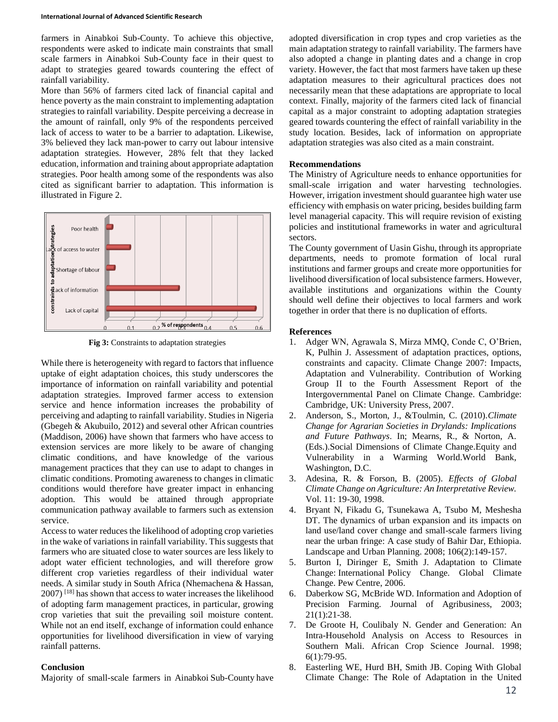farmers in Ainabkoi Sub-County. To achieve this objective, respondents were asked to indicate main constraints that small scale farmers in Ainabkoi Sub-County face in their quest to adapt to strategies geared towards countering the effect of rainfall variability.

More than 56% of farmers cited lack of financial capital and hence poverty as the main constraint to implementing adaptation strategies to rainfall variability. Despite perceiving a decrease in the amount of rainfall, only 9% of the respondents perceived lack of access to water to be a barrier to adaptation. Likewise, 3% believed they lack man-power to carry out labour intensive adaptation strategies. However, 28% felt that they lacked education, information and training about appropriate adaptation strategies. Poor health among some of the respondents was also cited as significant barrier to adaptation. This information is illustrated in Figure 2.



**Fig 3:** Constraints to adaptation strategies

While there is heterogeneity with regard to factors that influence uptake of eight adaptation choices, this study underscores the importance of information on rainfall variability and potential adaptation strategies. Improved farmer access to extension service and hence information increases the probability of perceiving and adapting to rainfall variability. Studies in Nigeria (Gbegeh & Akubuilo, 2012) and several other African countries (Maddison, 2006) have shown that farmers who have access to extension services are more likely to be aware of changing climatic conditions, and have knowledge of the various management practices that they can use to adapt to changes in climatic conditions. Promoting awareness to changes in climatic conditions would therefore have greater impact in enhancing adoption. This would be attained through appropriate communication pathway available to farmers such as extension service.

Access to water reduces the likelihood of adopting crop varieties in the wake of variations in rainfall variability. This suggests that farmers who are situated close to water sources are less likely to adopt water efficient technologies, and will therefore grow different crop varieties regardless of their individual water needs. A similar study in South Africa (Nhemachena & Hassan, 2007) [18] has shown that access to water increases the likelihood of adopting farm management practices, in particular, growing crop varieties that suit the prevailing soil moisture content. While not an end itself, exchange of information could enhance opportunities for livelihood diversification in view of varying rainfall patterns.

# **Conclusion**

Majority of small-scale farmers in Ainabkoi Sub-County have

adopted diversification in crop types and crop varieties as the main adaptation strategy to rainfall variability. The farmers have also adopted a change in planting dates and a change in crop variety. However, the fact that most farmers have taken up these adaptation measures to their agricultural practices does not necessarily mean that these adaptations are appropriate to local context. Finally, majority of the farmers cited lack of financial capital as a major constraint to adopting adaptation strategies geared towards countering the effect of rainfall variability in the study location. Besides, lack of information on appropriate adaptation strategies was also cited as a main constraint.

# **Recommendations**

The Ministry of Agriculture needs to enhance opportunities for small-scale irrigation and water harvesting technologies. However, irrigation investment should guarantee high water use efficiency with emphasis on water pricing, besides building farm level managerial capacity. This will require revision of existing policies and institutional frameworks in water and agricultural sectors.

The County government of Uasin Gishu, through its appropriate departments, needs to promote formation of local rural institutions and farmer groups and create more opportunities for livelihood diversification of local subsistence farmers. However, available institutions and organizations within the County should well define their objectives to local farmers and work together in order that there is no duplication of efforts.

### **References**

- 1. Adger WN, Agrawala S, Mirza MMQ, Conde C, O'Brien, K, Pulhin J. Assessment of adaptation practices, options, constraints and capacity. Climate Change 2007: Impacts, Adaptation and Vulnerability. Contribution of Working Group II to the Fourth Assessment Report of the Intergovernmental Panel on Climate Change. Cambridge: Cambridge, UK: University Press, 2007.
- 2. Anderson, S., Morton, J., &Toulmin, C. (2010).*Climate Change for Agrarian Societies in Drylands: Implications and Future Pathways*. In; Mearns, R., & Norton, A. (Eds.).Social Dimensions of Climate Change.Equity and Vulnerability in a Warming World.World Bank, Washington, D.C.
- 3. Adesina, R. & Forson, B. (2005). *Effects of Global Climate Change on Agriculture: An Interpretative Review.*  Vol. 11: 19-30, 1998.
- 4. Bryant N, Fikadu G, Tsunekawa A, Tsubo M, Meshesha DT. The dynamics of urban expansion and its impacts on land use/land cover change and small-scale farmers living near the urban fringe: A case study of Bahir Dar, Ethiopia. Landscape and Urban Planning. 2008; 106(2):149-157.
- 5. Burton I, Diringer E, Smith J. Adaptation to Climate Change: International Policy Change. Global Climate Change. Pew Centre, 2006.
- 6. Daberkow SG, McBride WD. Information and Adoption of Precision Farming. Journal of Agribusiness, 2003; 21(1):21-38.
- 7. De Groote H, Coulibaly N. Gender and Generation: An Intra-Household Analysis on Access to Resources in Southern Mali. African Crop Science Journal. 1998; 6(1):79-95.
- 8. Easterling WE, Hurd BH, Smith JB. Coping With Global Climate Change: The Role of Adaptation in the United